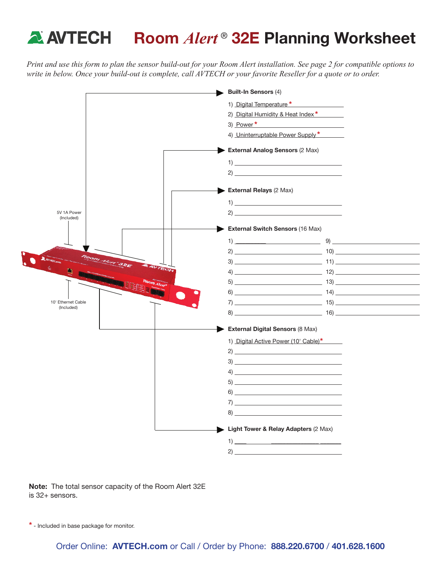## **A AVTECH** Room *Alert*<sup>®</sup> 32E Planning Worksheet

*Print and use this form to plan the sensor build-out for your Room Alert installation. See page 2 for compatible options to write in below. Once your build-out is complete, call AVTECH or your favorite Reseller for a quote or to order.*



Note: The total sensor capacity of the Room Alert 32E is 32+ sensors.

\* - Included in base package for monitor.